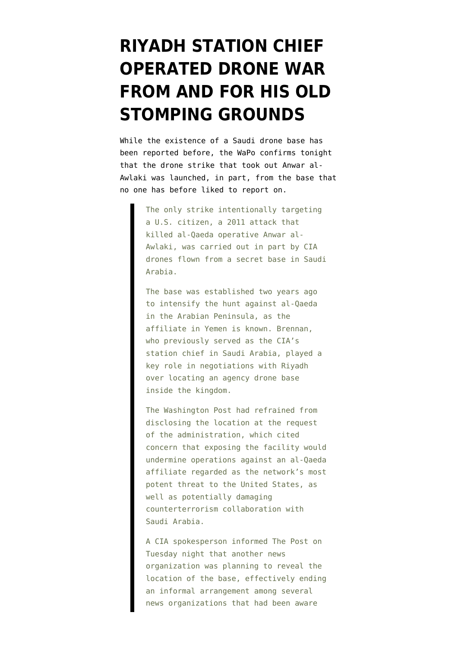## **[RIYADH STATION CHIEF](https://www.emptywheel.net/2013/02/05/riyadh-station-chief-operated-drone-war-from-and-for-his-old-stomping-grounds/) [OPERATED DRONE WAR](https://www.emptywheel.net/2013/02/05/riyadh-station-chief-operated-drone-war-from-and-for-his-old-stomping-grounds/) [FROM AND FOR HIS OLD](https://www.emptywheel.net/2013/02/05/riyadh-station-chief-operated-drone-war-from-and-for-his-old-stomping-grounds/) [STOMPING GROUNDS](https://www.emptywheel.net/2013/02/05/riyadh-station-chief-operated-drone-war-from-and-for-his-old-stomping-grounds/)**

While the existence of a Saudi drone base has been reported before, the WaPo [confirms](http://www.washingtonpost.com/world/national-security/brennan-nomination-opens-obama-to-criticism-on-secret-targeted-killings/2013/02/05/8f3c94f0-6fb0-11e2-8b8d-e0b59a1b8e2a_print.html) tonight that the drone strike that took out Anwar al-Awlaki was launched, in part, from the base that no one has before liked to report on.

> The only strike intentionally targeting a U.S. citizen, a 2011 attack that killed al-Qaeda operative Anwar al-Awlaki, was carried out in part by CIA drones flown from a secret base in Saudi Arabia.

The base was established two years ago to intensify the hunt against al-Qaeda in the Arabian Peninsula, as the affiliate in Yemen is known. Brennan, who previously served as the CIA's station chief in Saudi Arabia, played a key role in negotiations with Riyadh over locating an agency drone base inside the kingdom.

The Washington Post had refrained from disclosing the location at the request of the administration, which cited concern that exposing the facility would undermine operations against an al-Qaeda affiliate regarded as the network's most potent threat to the United States, as well as potentially damaging counterterrorism collaboration with Saudi Arabia.

A CIA spokesperson informed The Post on Tuesday night that another news organization was planning to reveal the location of the base, effectively ending an informal arrangement among several news organizations that had been aware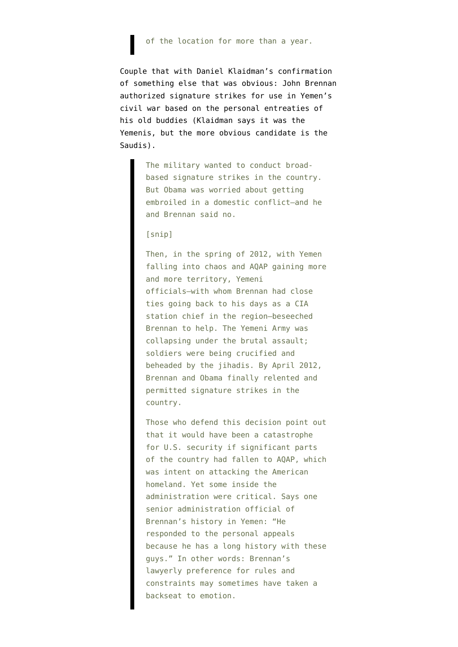## of the location for more than a year.

Couple that with Daniel Klaidman's [confirmation](http://www.thedailybeast.com/newsweek/2013/02/04/john-brennan-obama-s-cia-chief-nominee-could-restrain-the-agency.html) of something else that was obvious: John Brennan authorized signature strikes for use in Yemen's civil war based on the personal entreaties of his old buddies (Klaidman says it was the Yemenis, but the more obvious candidate is the Saudis).

> The military wanted to conduct broadbased signature strikes in the country. But Obama was worried about getting embroiled in a domestic conflict—and he and Brennan said no.

## [snip]

Then, in the spring of 2012, with Yemen falling into chaos and AQAP gaining more and more territory, Yemeni officials—with whom Brennan had close ties going back to his days as a CIA station chief in the region—beseeched Brennan to help. The Yemeni Army was collapsing under the brutal assault; soldiers were being crucified and beheaded by the jihadis. By April 2012, Brennan and Obama finally relented and permitted signature strikes in the country.

Those who defend this decision point out that it would have been a catastrophe for U.S. security if significant parts of the country had fallen to AQAP, which was intent on attacking the American homeland. Yet some inside the administration were critical. Says one senior administration official of Brennan's history in Yemen: "He responded to the personal appeals because he has a long history with these guys." In other words: Brennan's lawyerly preference for rules and constraints may sometimes have taken a backseat to emotion.